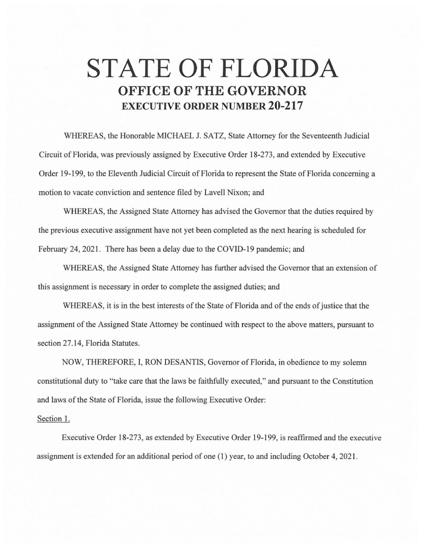## **STATE OF FLORIDA OFFICE OF THE GOVERNOR EXECUTIVE ORDER NUMBER 20-217**

WHEREAS, the Honorable MICHAEL J. SATZ, State Attorney for the Seventeenth Judicial Circuit of Florida, was previously assigned by Executive Order 18-273, and extended by Executive Order 19-199, to the Eleventh Judicial Circuit of Florida to represent the State of Florida concerning a motion to vacate conviction and sentence filed by Lavell Nixon; and

WHEREAS, the Assigned State Attorney has advised the Governor that the duties required by the previous executive assignment have not yet been completed as the next hearing is scheduled for February 24, 2021. There has been a delay due to the COVID-19 pandemic; and

WHEREAS, the Assigned State Attorney has further advised the Governor that an extension of this assignment is necessary in order to complete the assigned duties; and

WHEREAS, it is in the best interests of the State of Florida and of the ends of justice that the assignment of the Assigned State Attorney be continued with respect to the above matters, pursuant to section 27.14, Florida Statutes.

NOW, THEREFORE, I, RON DESANTIS, Governor of Florida, in obedience to my solemn constitutional duty to " take care that the laws be faithfully executed," and pursuant to the Constitution and laws of the State of Florida, issue the following Executive Order:

## Section 1.

Executive Order 18-273, as extended by Executive Order 19-199, is reaffirmed and the executive assignment is extended for an additional period of one (1) year, to and including October 4, 2021.